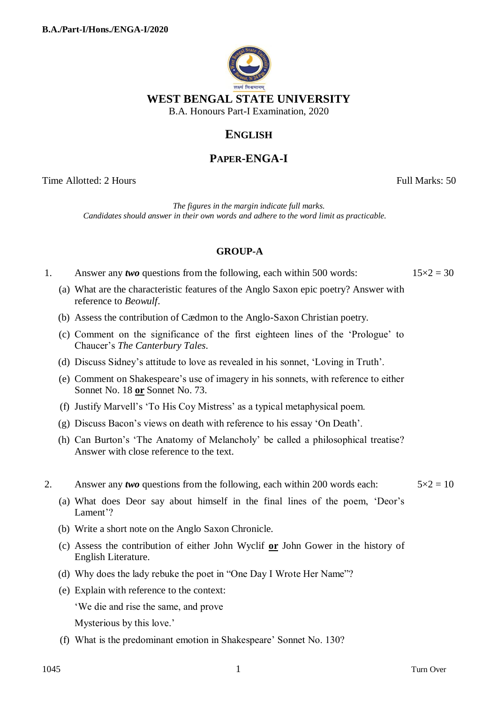

## **ENGLISH**

# **PAPER-ENGA-I**

Time Allotted: 2 Hours Full Marks: 50

*The figures in the margin indicate full marks. Candidates should answer in their own words and adhere to the word limit as practicable.*

## **GROUP-A**

1. Answer any *two* questions from the following, each within 500 words:  $15 \times 2 = 30$ 

(a) What are the characteristic features of the Anglo Saxon epic poetry? Answer with reference to *Beowulf*.

- (b) Assess the contribution of Cædmon to the Anglo-Saxon Christian poetry.
- (c) Comment on the significance of the first eighteen lines of the "Prologue" to Chaucer"s *The Canterbury Tales*.
- (d) Discuss Sidney"s attitude to love as revealed in his sonnet, "Loving in Truth".
- (e) Comment on Shakespeare"s use of imagery in his sonnets, with reference to either Sonnet No. 18 **or** Sonnet No. 73.
- (f) Justify Marvell"s "To His Coy Mistress" as a typical metaphysical poem.
- (g) Discuss Bacon"s views on death with reference to his essay "On Death".
- (h) Can Burton"s "The Anatomy of Melancholy" be called a philosophical treatise? Answer with close reference to the text.
- 2. Answer any *two* questions from the following, each within 200 words each:  $5 \times 2 = 10$ 
	- (a) What does Deor say about himself in the final lines of the poem, "Deor"s Lament'?
	- (b) Write a short note on the Anglo Saxon Chronicle.
	- (c) Assess the contribution of either John Wyclif **or** John Gower in the history of English Literature.
	- (d) Why does the lady rebuke the poet in "One Day I Wrote Her Name"?
	- (e) Explain with reference to the context:

"We die and rise the same, and prove

Mysterious by this love.'

(f) What is the predominant emotion in Shakespeare" Sonnet No. 130?